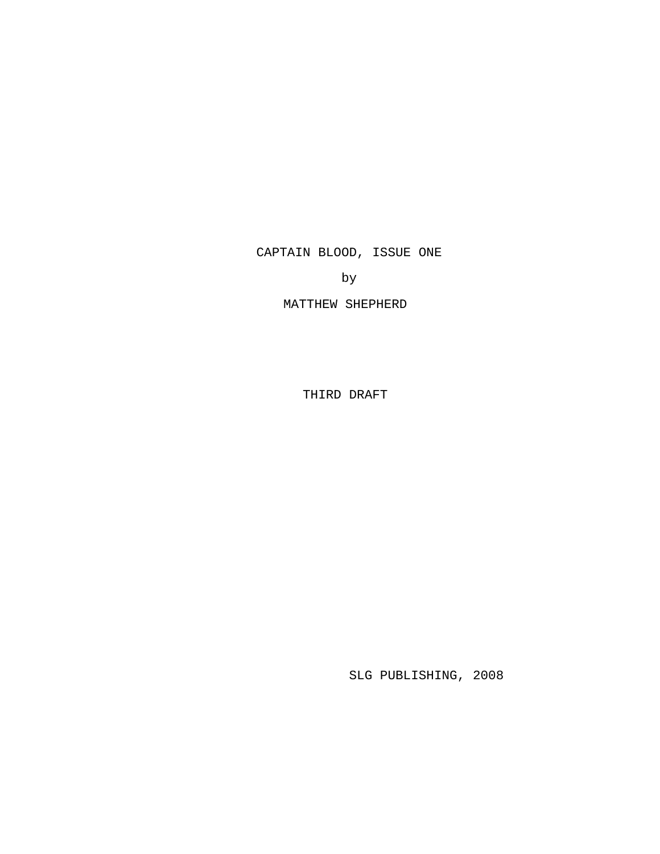CAPTAIN BLOOD, ISSUE ONE

by

MATTHEW SHEPHERD

THIRD DRAFT

SLG PUBLISHING, 2008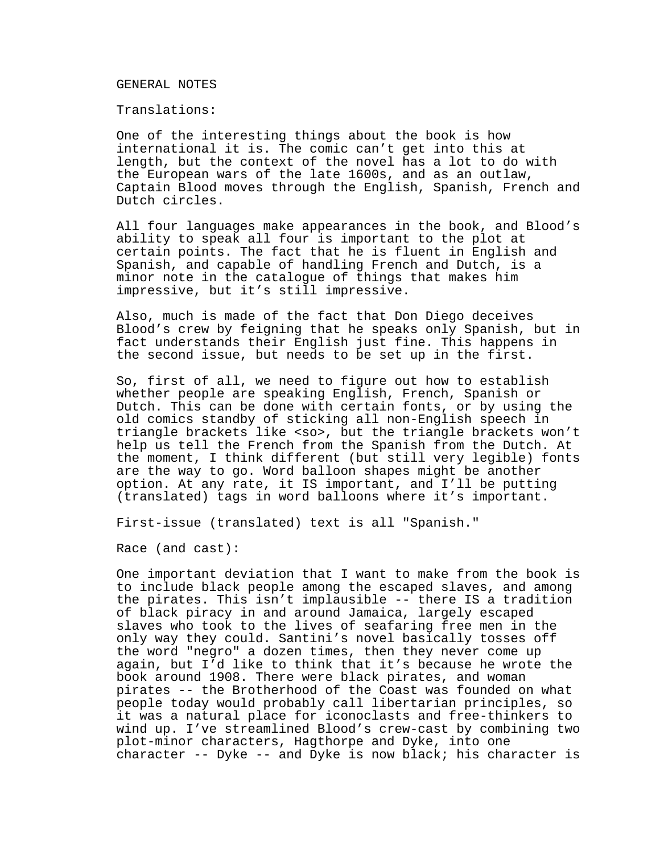#### GENERAL NOTES

Translations:

One of the interesting things about the book is how international it is. The comic can't get into this at length, but the context of the novel has a lot to do with the European wars of the late 1600s, and as an outlaw, Captain Blood moves through the English, Spanish, French and Dutch circles.

All four languages make appearances in the book, and Blood's ability to speak all four is important to the plot at certain points. The fact that he is fluent in English and Spanish, and capable of handling French and Dutch, is a minor note in the catalogue of things that makes him impressive, but it's still impressive.

Also, much is made of the fact that Don Diego deceives Blood's crew by feigning that he speaks only Spanish, but in fact understands their English just fine. This happens in the second issue, but needs to be set up in the first.

So, first of all, we need to figure out how to establish whether people are speaking English, French, Spanish or Dutch. This can be done with certain fonts, or by using the old comics standby of sticking all non-English speech in triangle brackets like <so>, but the triangle brackets won't help us tell the French from the Spanish from the Dutch. At the moment, I think different (but still very legible) fonts are the way to go. Word balloon shapes might be another option. At any rate, it IS important, and I'll be putting (translated) tags in word balloons where it's important.

First-issue (translated) text is all "Spanish."

Race (and cast):

One important deviation that I want to make from the book is to include black people among the escaped slaves, and among the pirates. This isn't implausible -- there IS a tradition of black piracy in and around Jamaica, largely escaped slaves who took to the lives of seafaring free men in the only way they could. Santini's novel basically tosses off the word "negro" a dozen times, then they never come up again, but I'd like to think that it's because he wrote the book around 1908. There were black pirates, and woman pirates -- the Brotherhood of the Coast was founded on what people today would probably call libertarian principles, so it was a natural place for iconoclasts and free-thinkers to wind up. I've streamlined Blood's crew-cast by combining two plot-minor characters, Hagthorpe and Dyke, into one character -- Dyke -- and Dyke is now black; his character is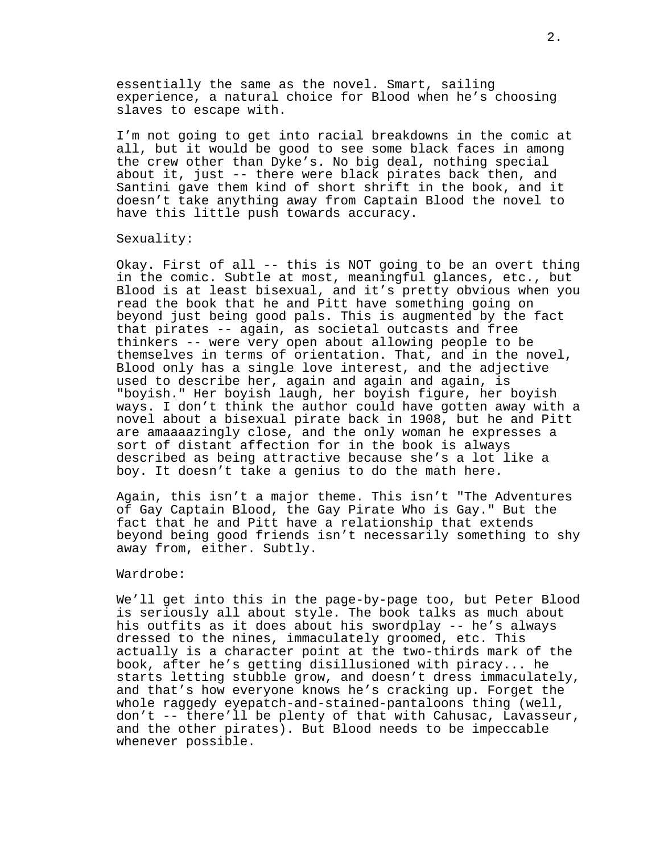essentially the same as the novel. Smart, sailing experience, a natural choice for Blood when he's choosing slaves to escape with.

I'm not going to get into racial breakdowns in the comic at all, but it would be good to see some black faces in among the crew other than Dyke's. No big deal, nothing special about it, just -- there were black pirates back then, and Santini gave them kind of short shrift in the book, and it doesn't take anything away from Captain Blood the novel to have this little push towards accuracy.

### Sexuality:

Okay. First of all -- this is NOT going to be an overt thing in the comic. Subtle at most, meaningful glances, etc., but Blood is at least bisexual, and it's pretty obvious when you read the book that he and Pitt have something going on beyond just being good pals. This is augmented by the fact that pirates -- again, as societal outcasts and free thinkers -- were very open about allowing people to be themselves in terms of orientation. That, and in the novel, Blood only has a single love interest, and the adjective used to describe her, again and again and again, is "boyish." Her boyish laugh, her boyish figure, her boyish ways. I don't think the author could have gotten away with a novel about a bisexual pirate back in 1908, but he and Pitt are amaaaazingly close, and the only woman he expresses a sort of distant affection for in the book is always described as being attractive because she's a lot like a boy. It doesn't take a genius to do the math here.

Again, this isn't a major theme. This isn't "The Adventures of Gay Captain Blood, the Gay Pirate Who is Gay." But the fact that he and Pitt have a relationship that extends beyond being good friends isn't necessarily something to shy away from, either. Subtly.

#### Wardrobe:

We'll get into this in the page-by-page too, but Peter Blood is seriously all about style. The book talks as much about his outfits as it does about his swordplay -- he's always dressed to the nines, immaculately groomed, etc. This actually is a character point at the two-thirds mark of the book, after he's getting disillusioned with piracy... he starts letting stubble grow, and doesn't dress immaculately, and that's how everyone knows he's cracking up. Forget the whole raggedy eyepatch-and-stained-pantaloons thing (well, don't -- there'll be plenty of that with Cahusac, Lavasseur, and the other pirates). But Blood needs to be impeccable whenever possible.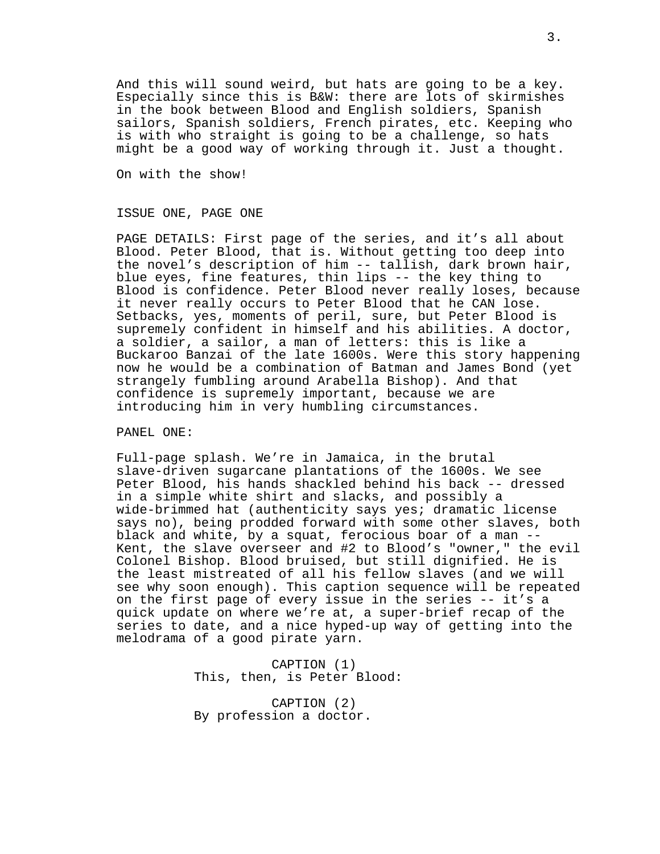And this will sound weird, but hats are going to be a key. Especially since this is B&W: there are lots of skirmishes in the book between Blood and English soldiers, Spanish sailors, Spanish soldiers, French pirates, etc. Keeping who is with who straight is going to be a challenge, so hats might be a good way of working through it. Just a thought.

On with the show!

### ISSUE ONE, PAGE ONE

PAGE DETAILS: First page of the series, and it's all about Blood. Peter Blood, that is. Without getting too deep into the novel's description of him -- tallish, dark brown hair, blue eyes, fine features, thin lips -- the key thing to Blood is confidence. Peter Blood never really loses, because it never really occurs to Peter Blood that he CAN lose. Setbacks, yes, moments of peril, sure, but Peter Blood is supremely confident in himself and his abilities. A doctor, a soldier, a sailor, a man of letters: this is like a Buckaroo Banzai of the late 1600s. Were this story happening now he would be a combination of Batman and James Bond (yet strangely fumbling around Arabella Bishop). And that confidence is supremely important, because we are introducing him in very humbling circumstances.

### PANEL ONE:

Full-page splash. We're in Jamaica, in the brutal slave-driven sugarcane plantations of the 1600s. We see Peter Blood, his hands shackled behind his back -- dressed in a simple white shirt and slacks, and possibly a wide-brimmed hat (authenticity says yes; dramatic license says no), being prodded forward with some other slaves, both black and white, by a squat, ferocious boar of a man -- Kent, the slave overseer and #2 to Blood's "owner," the evil Colonel Bishop. Blood bruised, but still dignified. He is the least mistreated of all his fellow slaves (and we will see why soon enough). This caption sequence will be repeated on the first page of every issue in the series -- it's a quick update on where we're at, a super-brief recap of the series to date, and a nice hyped-up way of getting into the melodrama of a good pirate yarn.

> CAPTION (1) This, then, is Peter Blood:

CAPTION (2) By profession a doctor.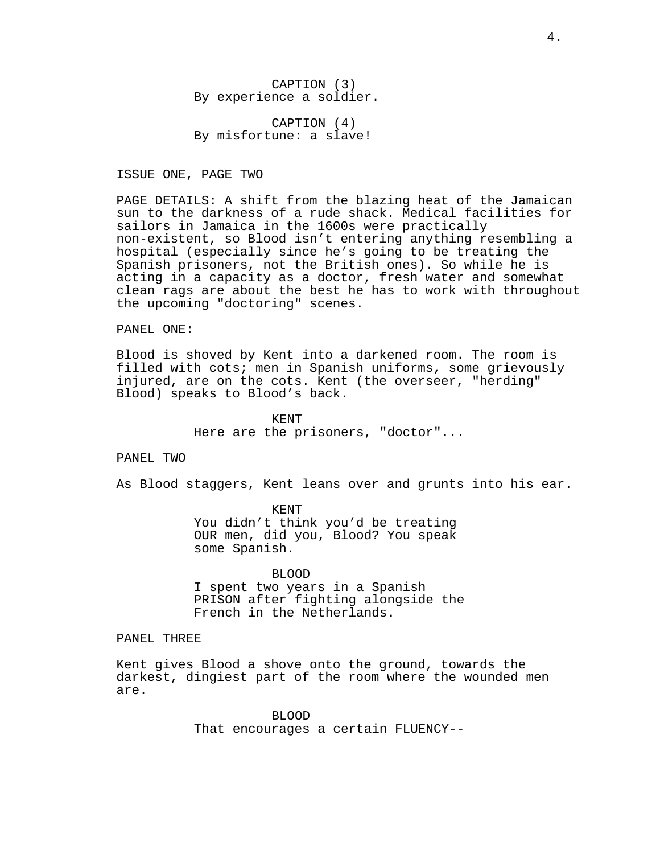CAPTION (3) By experience a soldier.

CAPTION (4) By misfortune: a slave!

ISSUE ONE, PAGE TWO

PAGE DETAILS: A shift from the blazing heat of the Jamaican sun to the darkness of a rude shack. Medical facilities for sailors in Jamaica in the 1600s were practically non-existent, so Blood isn't entering anything resembling a hospital (especially since he's going to be treating the Spanish prisoners, not the British ones). So while he is acting in a capacity as a doctor, fresh water and somewhat clean rags are about the best he has to work with throughout the upcoming "doctoring" scenes.

PANEL ONE:

Blood is shoved by Kent into a darkened room. The room is filled with cots; men in Spanish uniforms, some grievously injured, are on the cots. Kent (the overseer, "herding" Blood) speaks to Blood's back.

> KENT Here are the prisoners, "doctor"...

PANEL TWO

As Blood staggers, Kent leans over and grunts into his ear.

KENT You didn't think you'd be treating OUR men, did you, Blood? You speak some Spanish.

BLOOD I spent two years in a Spanish PRISON after fighting alongside the French in the Netherlands.

PANEL THREE

Kent gives Blood a shove onto the ground, towards the darkest, dingiest part of the room where the wounded men are.

> BLOOD That encourages a certain FLUENCY--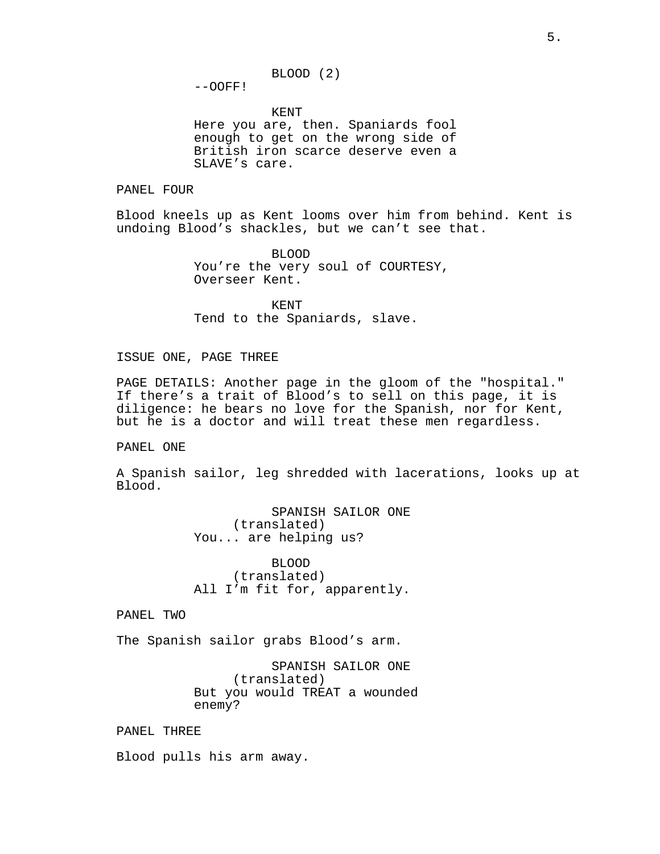$--OOFF!$ 

KENT Here you are, then. Spaniards fool enough to get on the wrong side of British iron scarce deserve even a SLAVE's care.

### PANEL FOUR

Blood kneels up as Kent looms over him from behind. Kent is undoing Blood's shackles, but we can't see that.

> BLOOD You're the very soul of COURTESY, Overseer Kent.

KENT Tend to the Spaniards, slave.

#### ISSUE ONE, PAGE THREE

PAGE DETAILS: Another page in the gloom of the "hospital." If there's a trait of Blood's to sell on this page, it is diligence: he bears no love for the Spanish, nor for Kent, but he is a doctor and will treat these men regardless.

PANEL ONE

A Spanish sailor, leg shredded with lacerations, looks up at Blood.

> SPANISH SAILOR ONE (translated) You... are helping us?

> BLOOD (translated) All I'm fit for, apparently.

PANEL TWO

The Spanish sailor grabs Blood's arm.

SPANISH SAILOR ONE (translated) But you would TREAT a wounded enemy?

PANEL THREE

Blood pulls his arm away.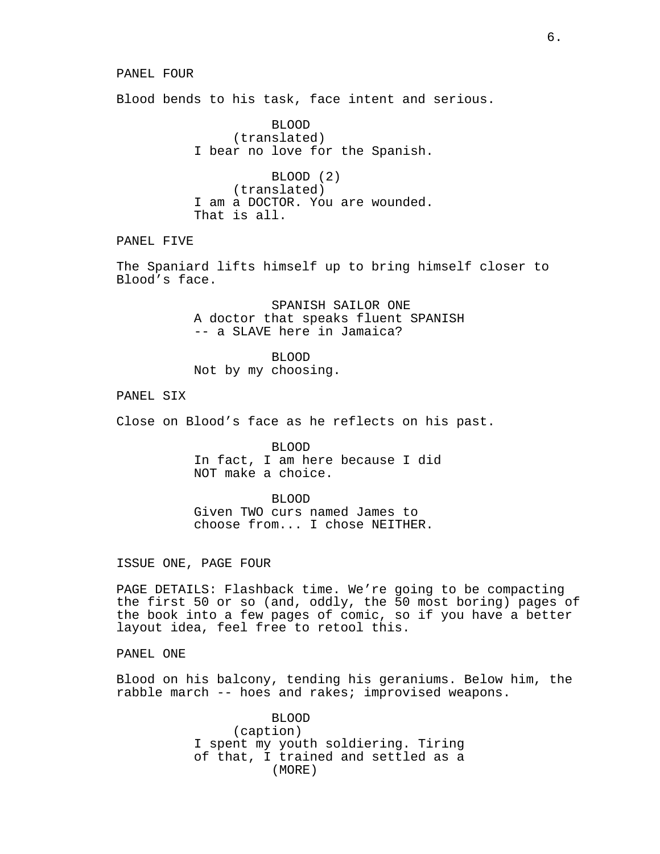#### PANEL FOUR

Blood bends to his task, face intent and serious.

BLOOD (translated) I bear no love for the Spanish.

BLOOD (2) (translated) I am a DOCTOR. You are wounded. That is all.

PANEL FIVE

The Spaniard lifts himself up to bring himself closer to Blood's face.

> SPANISH SAILOR ONE A doctor that speaks fluent SPANISH -- a SLAVE here in Jamaica?

BLOOD Not by my choosing.

PANEL SIX

Close on Blood's face as he reflects on his past.

BLOOD In fact, I am here because I did NOT make a choice.

BLOOD Given TWO curs named James to choose from... I chose NEITHER.

ISSUE ONE, PAGE FOUR

PAGE DETAILS: Flashback time. We're going to be compacting the first 50 or so (and, oddly, the 50 most boring) pages of the book into a few pages of comic, so if you have a better layout idea, feel free to retool this.

PANEL ONE

Blood on his balcony, tending his geraniums. Below him, the rabble march -- hoes and rakes; improvised weapons.

> BLOOD (caption) I spent my youth soldiering. Tiring of that, I trained and settled as a (MORE)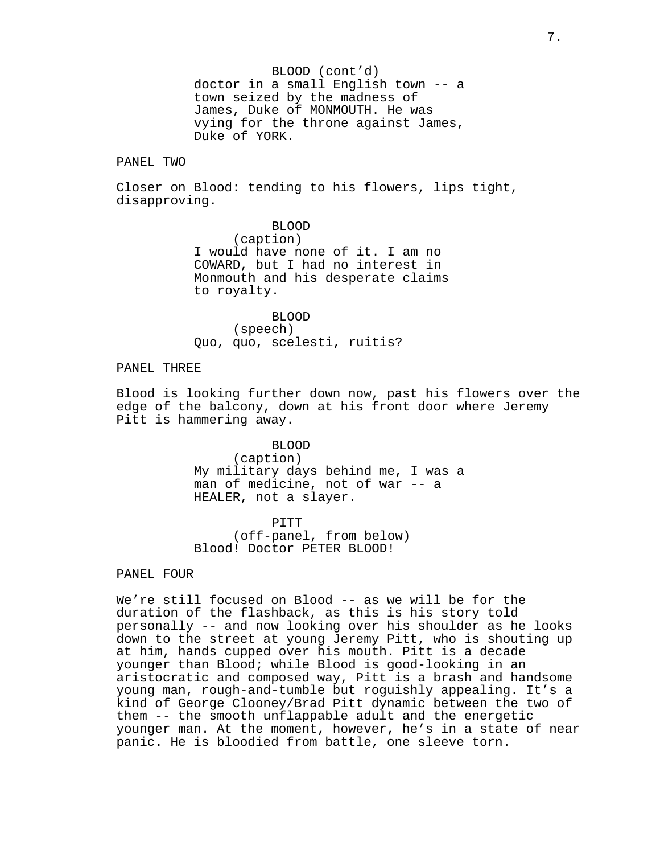BLOOD (cont'd) doctor in a small English town -- a town seized by the madness of James, Duke of MONMOUTH. He was vying for the throne against James, Duke of YORK.

#### PANEL TWO

Closer on Blood: tending to his flowers, lips tight, disapproving.

> BLOOD (caption) I would have none of it. I am no COWARD, but I had no interest in Monmouth and his desperate claims to royalty.

BLOOD (speech) Quo, quo, scelesti, ruitis?

## PANEL THREE

Blood is looking further down now, past his flowers over the edge of the balcony, down at his front door where Jeremy Pitt is hammering away.

> BLOOD (caption) My military days behind me, I was a man of medicine, not of war -- a HEALER, not a slayer.

PITT (off-panel, from below) Blood! Doctor PETER BLOOD!

### PANEL FOUR

We're still focused on Blood -- as we will be for the duration of the flashback, as this is his story told personally -- and now looking over his shoulder as he looks down to the street at young Jeremy Pitt, who is shouting up at him, hands cupped over his mouth. Pitt is a decade younger than Blood; while Blood is good-looking in an aristocratic and composed way, Pitt is a brash and handsome young man, rough-and-tumble but roguishly appealing. It's a kind of George Clooney/Brad Pitt dynamic between the two of them -- the smooth unflappable adult and the energetic younger man. At the moment, however, he's in a state of near panic. He is bloodied from battle, one sleeve torn.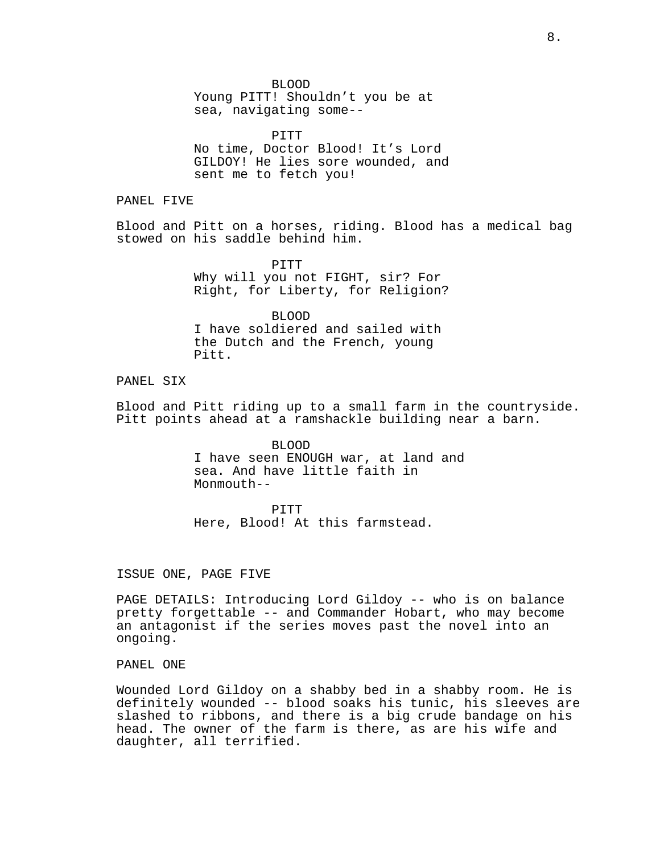BLOOD

Young PITT! Shouldn't you be at sea, navigating some--

PITT No time, Doctor Blood! It's Lord GILDOY! He lies sore wounded, and sent me to fetch you!

PANEL FIVE

Blood and Pitt on a horses, riding. Blood has a medical bag stowed on his saddle behind him.

> PITT Why will you not FIGHT, sir? For Right, for Liberty, for Religion?

BLOOD I have soldiered and sailed with the Dutch and the French, young Pitt.

## PANEL SIX

Blood and Pitt riding up to a small farm in the countryside. Pitt points ahead at a ramshackle building near a barn.

> BLOOD I have seen ENOUGH war, at land and sea. And have little faith in  $M$ onmouth--

PITT Here, Blood! At this farmstead.

ISSUE ONE, PAGE FIVE

PAGE DETAILS: Introducing Lord Gildoy -- who is on balance pretty forgettable -- and Commander Hobart, who may become an antagonist if the series moves past the novel into an ongoing.

## PANEL ONE

Wounded Lord Gildoy on a shabby bed in a shabby room. He is definitely wounded -- blood soaks his tunic, his sleeves are slashed to ribbons, and there is a big crude bandage on his head. The owner of the farm is there, as are his wife and daughter, all terrified.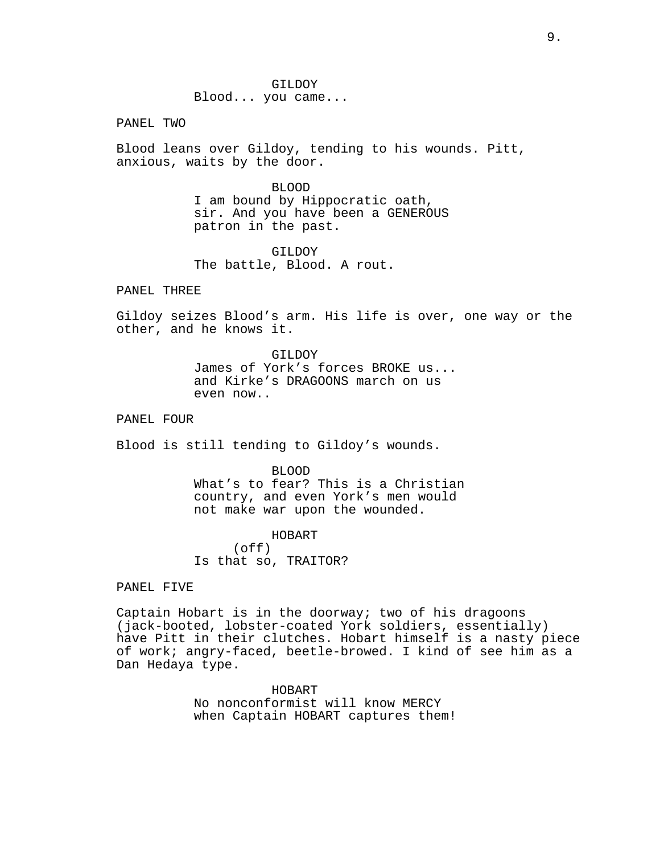PANEL TWO

Blood leans over Gildoy, tending to his wounds. Pitt, anxious, waits by the door.

> BLOOD I am bound by Hippocratic oath, sir. And you have been a GENEROUS patron in the past.

GILDOY The battle, Blood. A rout.

PANEL THREE

Gildoy seizes Blood's arm. His life is over, one way or the other, and he knows it.

> GILDOY James of York's forces BROKE us... and Kirke's DRAGOONS march on us even now..

PANEL FOUR

Blood is still tending to Gildoy's wounds.

BLOOD What's to fear? This is a Christian country, and even York's men would

not make war upon the wounded.

HOBART (off)

Is that so, TRAITOR?

PANEL FIVE

Captain Hobart is in the doorway; two of his dragoons (jack-booted, lobster-coated York soldiers, essentially) have Pitt in their clutches. Hobart himself is a nasty piece of work; angry-faced, beetle-browed. I kind of see him as a Dan Hedaya type.

> HOBART No nonconformist will know MERCY when Captain HOBART captures them!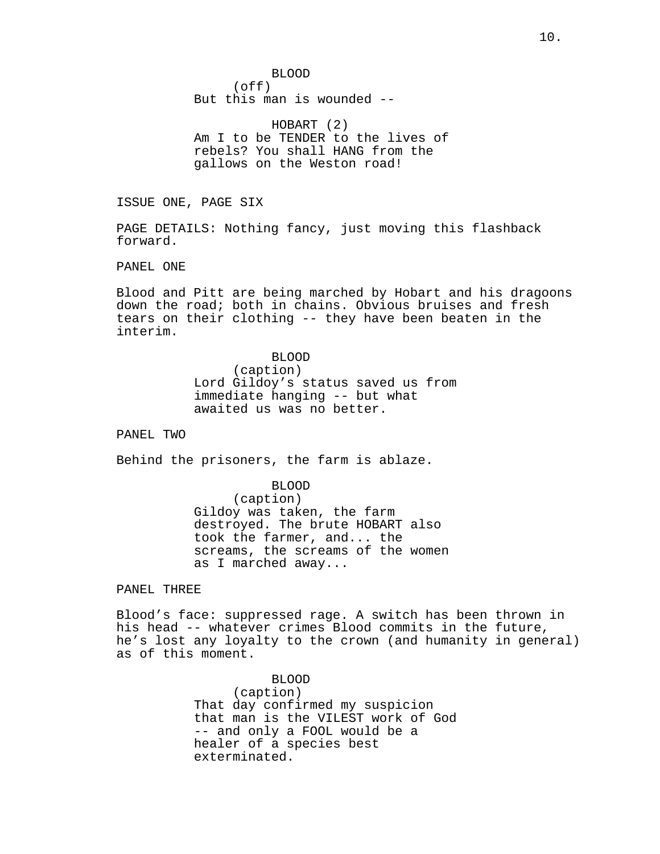BLOOD (off) But this man is wounded --

HOBART (2) Am I to be TENDER to the lives of rebels? You shall HANG from the gallows on the Weston road!

ISSUE ONE, PAGE SIX

PAGE DETAILS: Nothing fancy, just moving this flashback forward.

PANEL ONE

Blood and Pitt are being marched by Hobart and his dragoons down the road; both in chains. Obvious bruises and fresh tears on their clothing -- they have been beaten in the interim.

> BLOOD (caption) Lord Gildoy's status saved us from immediate hanging -- but what awaited us was no better.

PANEL TWO

Behind the prisoners, the farm is ablaze.

BLOOD (caption) Gildoy was taken, the farm destroyed. The brute HOBART also took the farmer, and... the screams, the screams of the women as I marched away...

### PANEL THREE

Blood's face: suppressed rage. A switch has been thrown in his head -- whatever crimes Blood commits in the future, he's lost any loyalty to the crown (and humanity in general) as of this moment.

> BLOOD (caption) That day confirmed my suspicion that man is the VILEST work of God -- and only a FOOL would be a healer of a species best exterminated.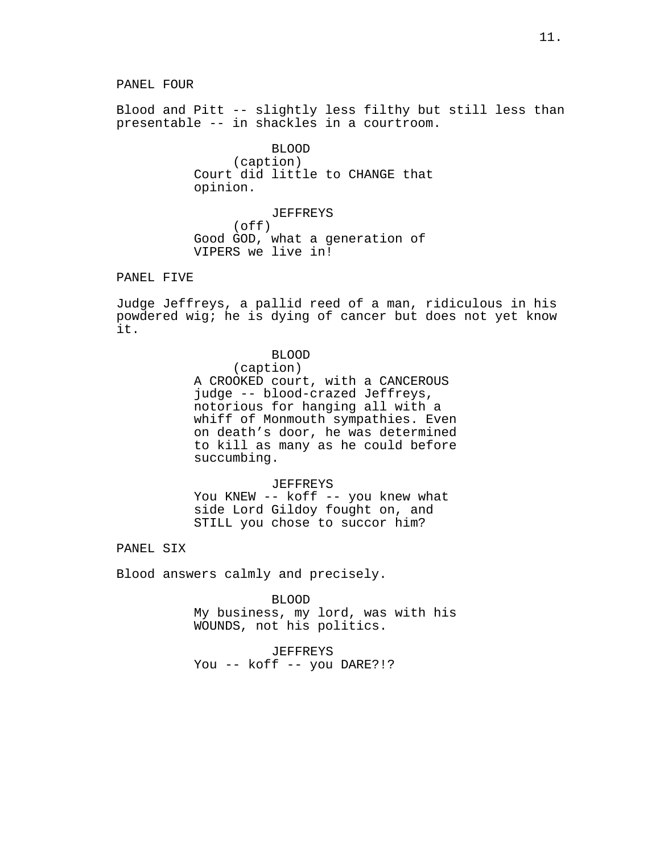Blood and Pitt -- slightly less filthy but still less than presentable -- in shackles in a courtroom.

> BLOOD (caption) Court did little to CHANGE that opinion.

JEFFREYS (off) Good GOD, what a generation of VIPERS we live in!

## PANEL FIVE

Judge Jeffreys, a pallid reed of a man, ridiculous in his powdered wig; he is dying of cancer but does not yet know it.

#### BLOOD

(caption)

A CROOKED court, with a CANCEROUS judge -- blood-crazed Jeffreys, notorious for hanging all with a whiff of Monmouth sympathies. Even on death's door, he was determined to kill as many as he could before succumbing.

#### JEFFREYS

You KNEW -- koff -- you knew what side Lord Gildoy fought on, and STILL you chose to succor him?

PANEL SIX

Blood answers calmly and precisely.

BLOOD

My business, my lord, was with his WOUNDS, not his politics.

JEFFREYS You -- koff -- you DARE?!?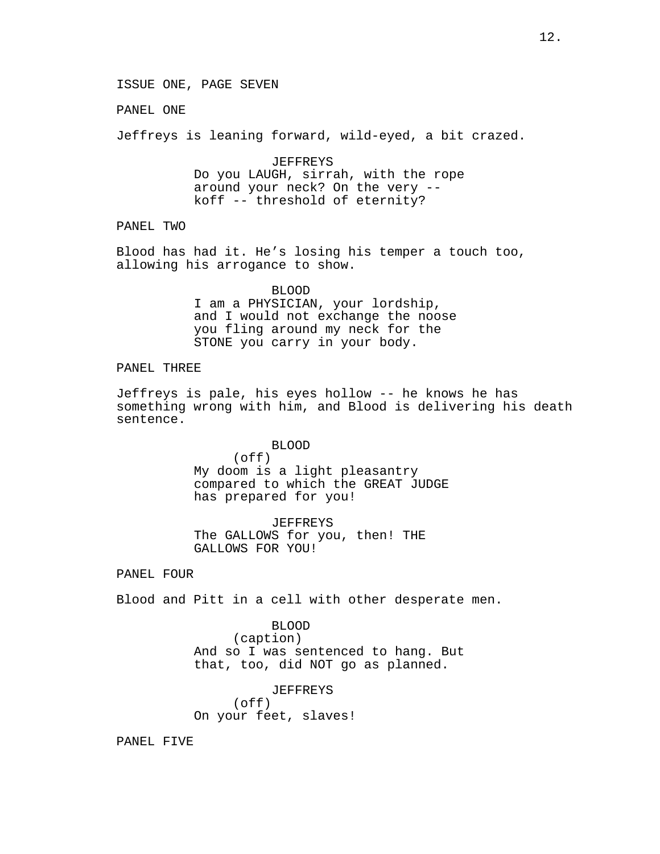PANEL ONE

Jeffreys is leaning forward, wild-eyed, a bit crazed.

JEFFREYS Do you LAUGH, sirrah, with the rope around your neck? On the very - koff -- threshold of eternity?

PANEL TWO

Blood has had it. He's losing his temper a touch too, allowing his arrogance to show.

> BLOOD I am a PHYSICIAN, your lordship, and I would not exchange the noose you fling around my neck for the STONE you carry in your body.

# PANEL THREE

Jeffreys is pale, his eyes hollow -- he knows he has something wrong with him, and Blood is delivering his death sentence.

#### BLOOD

(off) My doom is a light pleasantry compared to which the GREAT JUDGE has prepared for you!

JEFFREYS The GALLOWS for you, then! THE GALLOWS FOR YOU!

### PANEL FOUR

Blood and Pitt in a cell with other desperate men.

BLOOD (caption) And so I was sentenced to hang. But that, too, did NOT go as planned.

JEFFREYS  $($ off $)$ On your feet, slaves!

PANEL FIVE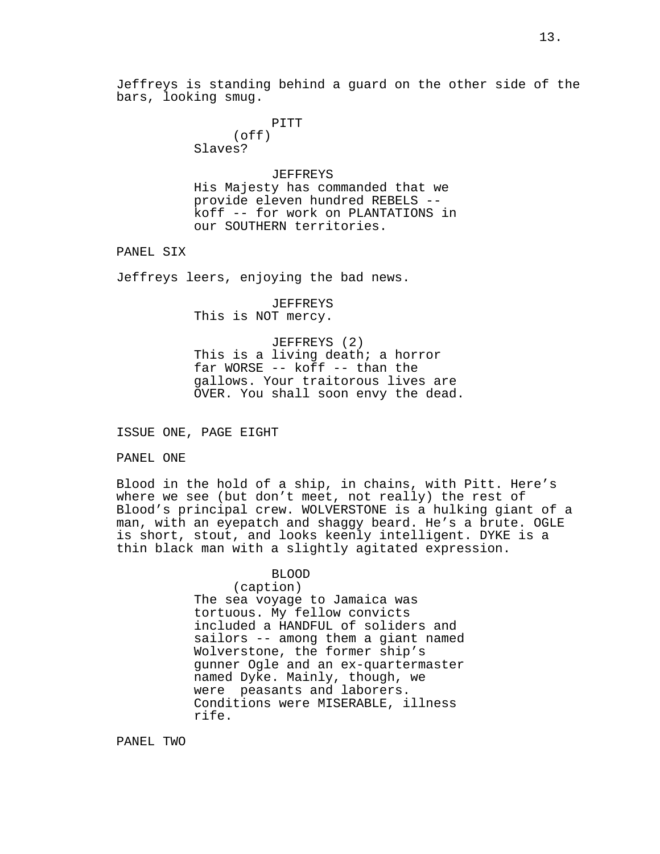PITT (off) Slaves?

#### JEFFREYS

His Majesty has commanded that we provide eleven hundred REBELS - koff -- for work on PLANTATIONS in our SOUTHERN territories.

PANEL SIX

Jeffreys leers, enjoying the bad news.

JEFFREYS This is NOT mercy.

JEFFREYS (2) This is a living death; a horror far WORSE -- koff -- than the gallows. Your traitorous lives are OVER. You shall soon envy the dead.

### ISSUE ONE, PAGE EIGHT

PANEL ONE

Blood in the hold of a ship, in chains, with Pitt. Here's where we see (but don't meet, not really) the rest of Blood's principal crew. WOLVERSTONE is a hulking giant of a man, with an eyepatch and shaggy beard. He's a brute. OGLE is short, stout, and looks keenly intelligent. DYKE is a thin black man with a slightly agitated expression.

BLOOD

# (caption)

The sea voyage to Jamaica was tortuous. My fellow convicts included a HANDFUL of soliders and sailors -- among them a giant named Wolverstone, the former ship's gunner Ogle and an ex-quartermaster named Dyke. Mainly, though, we were peasants and laborers. Conditions were MISERABLE, illness rife.

PANEL TWO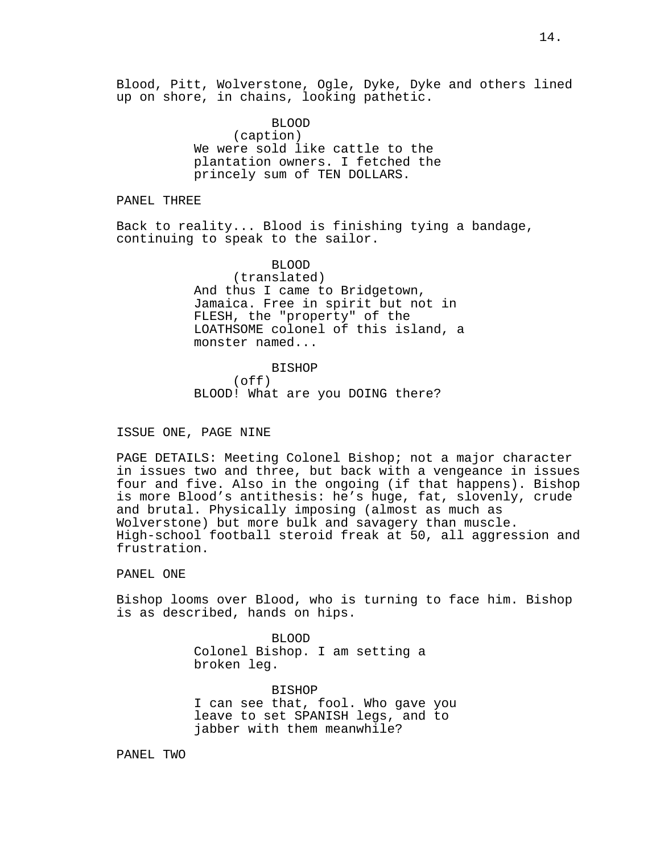Blood, Pitt, Wolverstone, Ogle, Dyke, Dyke and others lined up on shore, in chains, looking pathetic.

> BLOOD (caption) We were sold like cattle to the plantation owners. I fetched the princely sum of TEN DOLLARS.

PANEL THREE

Back to reality... Blood is finishing tying a bandage, continuing to speak to the sailor.

> BLOOD (translated) And thus I came to Bridgetown, Jamaica. Free in spirit but not in FLESH, the "property" of the LOATHSOME colonel of this island, a monster named...

BISHOP (off) BLOOD! What are you DOING there?

ISSUE ONE, PAGE NINE

PAGE DETAILS: Meeting Colonel Bishop; not a major character in issues two and three, but back with a vengeance in issues four and five. Also in the ongoing (if that happens). Bishop is more Blood's antithesis: he's huge, fat, slovenly, crude and brutal. Physically imposing (almost as much as Wolverstone) but more bulk and savagery than muscle. High-school football steroid freak at 50, all aggression and frustration.

PANEL ONE

Bishop looms over Blood, who is turning to face him. Bishop is as described, hands on hips.

> BLOOD Colonel Bishop. I am setting a broken leg.

BISHOP I can see that, fool. Who gave you leave to set SPANISH legs, and to jabber with them meanwhile?

PANEL TWO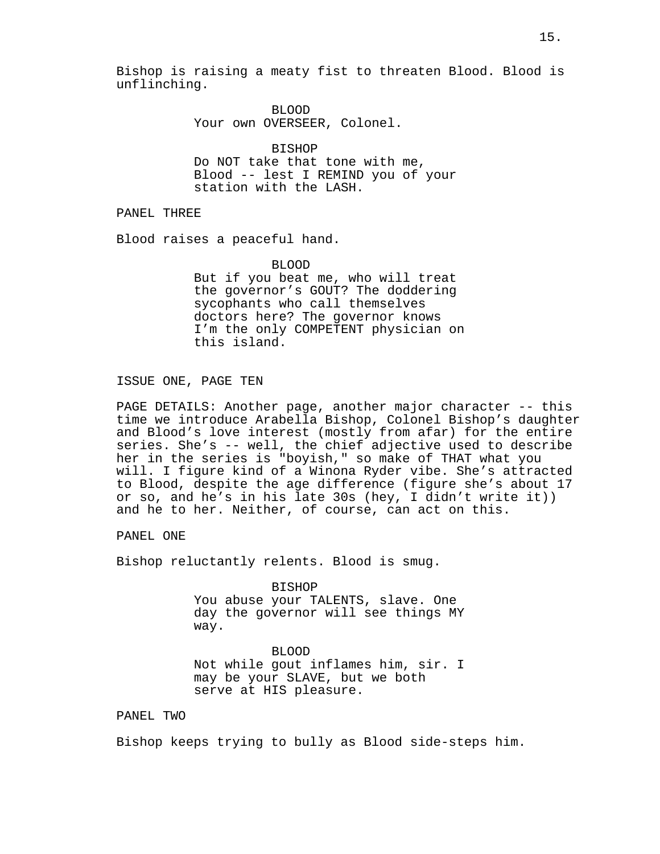Bishop is raising a meaty fist to threaten Blood. Blood is unflinching.

> BLOOD Your own OVERSEER, Colonel.

BISHOP Do NOT take that tone with me, Blood -- lest I REMIND you of your station with the LASH.

PANEL THREE

Blood raises a peaceful hand.

BLOOD

But if you beat me, who will treat the governor's GOUT? The doddering sycophants who call themselves doctors here? The governor knows I'm the only COMPETENT physician on this island.

ISSUE ONE, PAGE TEN

PAGE DETAILS: Another page, another major character -- this time we introduce Arabella Bishop, Colonel Bishop's daughter and Blood's love interest (mostly from afar) for the entire series. She's -- well, the chief adjective used to describe her in the series is "boyish," so make of THAT what you will. I figure kind of a Winona Ryder vibe. She's attracted to Blood, despite the age difference (figure she's about 17 or so, and he's in his late 30s (hey, I didn't write it)) and he to her. Neither, of course, can act on this.

PANEL ONE

Bishop reluctantly relents. Blood is smug.

BISHOP

You abuse your TALENTS, slave. One day the governor will see things MY way.

BLOOD Not while gout inflames him, sir. I may be your SLAVE, but we both serve at HIS pleasure.

## PANEL TWO

Bishop keeps trying to bully as Blood side-steps him.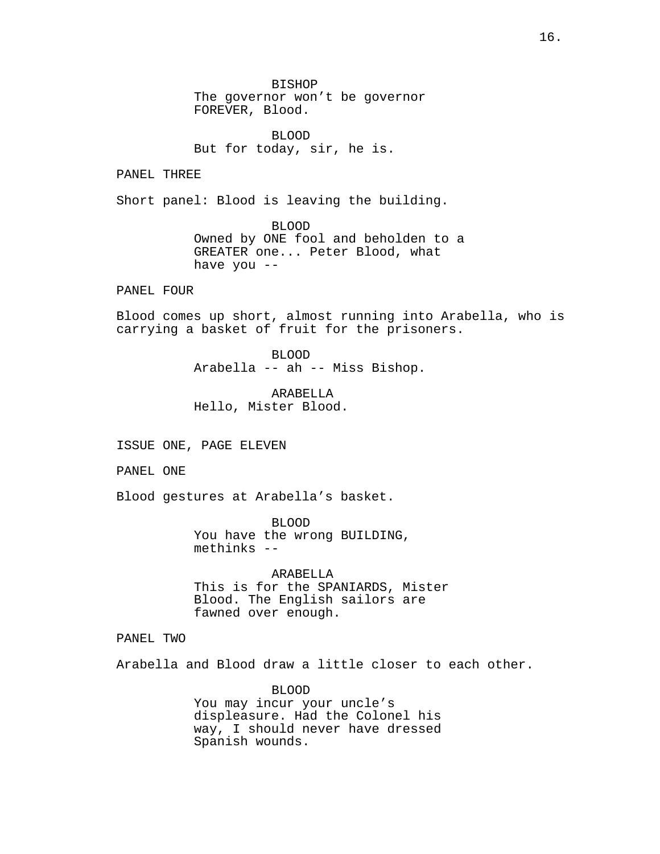BISHOP The governor won't be governor FOREVER, Blood.

BLOOD But for today, sir, he is.

PANEL THREE

Short panel: Blood is leaving the building.

BLOOD Owned by ONE fool and beholden to a GREATER one... Peter Blood, what have you --

PANEL FOUR

Blood comes up short, almost running into Arabella, who is carrying a basket of fruit for the prisoners.

> BLOOD Arabella -- ah -- Miss Bishop.

ARABELLA Hello, Mister Blood.

ISSUE ONE, PAGE ELEVEN

PANEL ONE

Blood gestures at Arabella's basket.

BLOOD You have the wrong BUILDING, methinks --

ARABELLA This is for the SPANIARDS, Mister Blood. The English sailors are fawned over enough.

PANEL TWO

Arabella and Blood draw a little closer to each other.

BLOOD You may incur your uncle's displeasure. Had the Colonel his way, I should never have dressed Spanish wounds.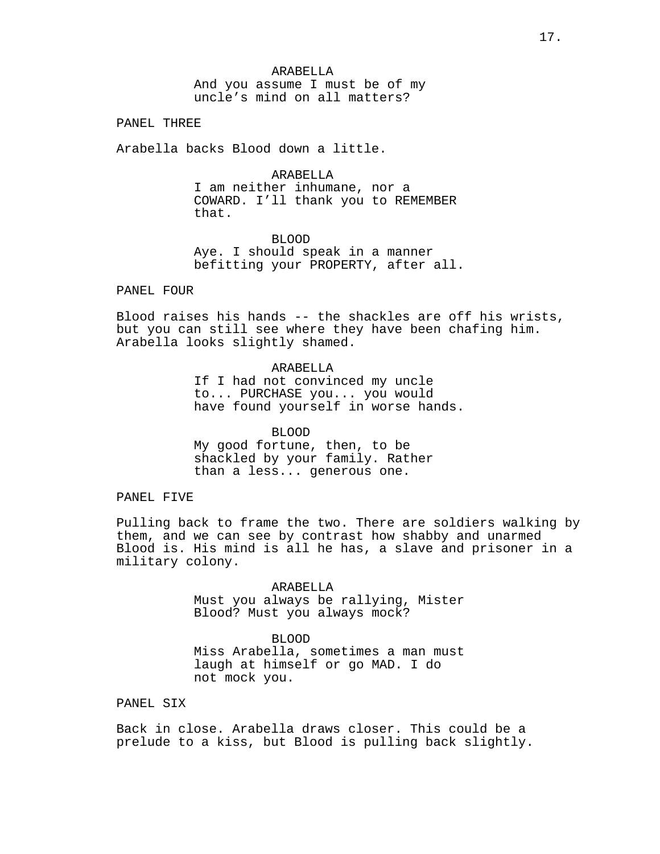ARABELLA And you assume I must be of my uncle's mind on all matters?

PANEL THREE

Arabella backs Blood down a little.

**ARABELLA** 

I am neither inhumane, nor a COWARD. I'll thank you to REMEMBER that.

BLOOD Aye. I should speak in a manner befitting your PROPERTY, after all.

PANEL FOUR

Blood raises his hands -- the shackles are off his wrists, but you can still see where they have been chafing him. Arabella looks slightly shamed.

> **ARABELLA** If I had not convinced my uncle to... PURCHASE you... you would have found yourself in worse hands.

BLOOD My good fortune, then, to be shackled by your family. Rather than a less... generous one.

### PANEL FIVE

Pulling back to frame the two. There are soldiers walking by them, and we can see by contrast how shabby and unarmed Blood is. His mind is all he has, a slave and prisoner in a military colony.

> ARABELLA Must you always be rallying, Mister Blood? Must you always mock?

> BLOOD Miss Arabella, sometimes a man must laugh at himself or go MAD. I do not mock you.

## PANEL SIX

Back in close. Arabella draws closer. This could be a prelude to a kiss, but Blood is pulling back slightly.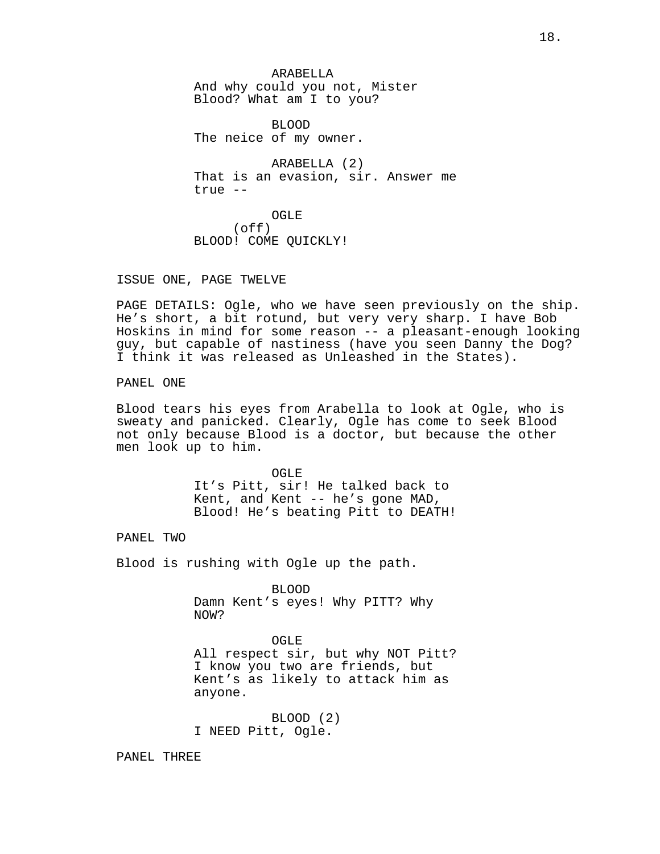ARABELLA And why could you not, Mister Blood? What am I to you?

BLOOD The neice of my owner.

ARABELLA (2) That is an evasion, sir. Answer me true --

OGLE (off) BLOOD! COME QUICKLY!

ISSUE ONE, PAGE TWELVE

PAGE DETAILS: Ogle, who we have seen previously on the ship. He's short, a bit rotund, but very very sharp. I have Bob Hoskins in mind for some reason -- a pleasant-enough looking guy, but capable of nastiness (have you seen Danny the Dog? I think it was released as Unleashed in the States).

PANEL ONE

Blood tears his eyes from Arabella to look at Ogle, who is sweaty and panicked. Clearly, Ogle has come to seek Blood not only because Blood is a doctor, but because the other men look up to him.

> OGLE It's Pitt, sir! He talked back to Kent, and Kent -- he's gone MAD, Blood! He's beating Pitt to DEATH!

PANEL TWO

Blood is rushing with Ogle up the path.

BLOOD Damn Kent's eyes! Why PITT? Why NOW?

OGLE All respect sir, but why NOT Pitt? I know you two are friends, but Kent's as likely to attack him as anyone.

BLOOD (2) I NEED Pitt, Ogle.

PANEL THREE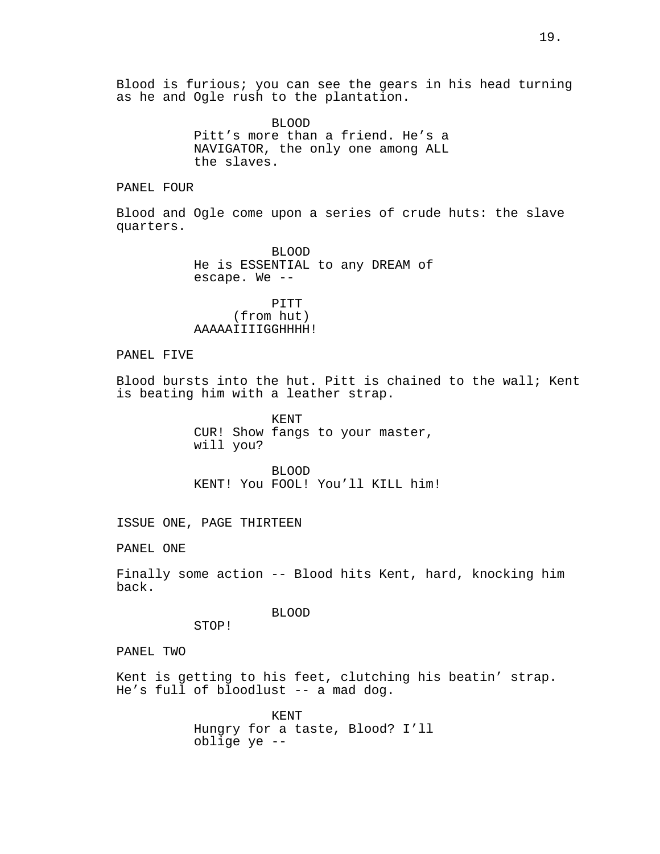Blood is furious; you can see the gears in his head turning as he and Ogle rush to the plantation.

> BLOOD Pitt's more than a friend. He's a NAVIGATOR, the only one among ALL the slaves.

PANEL FOUR

Blood and Ogle come upon a series of crude huts: the slave quarters.

> BLOOD He is ESSENTIAL to any DREAM of escape. We --

PITT (from hut) AAAAAIIIIGGHHHH!

PANEL FIVE

Blood bursts into the hut. Pitt is chained to the wall; Kent is beating him with a leather strap.

> KENT CUR! Show fangs to your master, will you?

BLOOD KENT! You FOOL! You'll KILL him!

ISSUE ONE, PAGE THIRTEEN

PANEL ONE

Finally some action -- Blood hits Kent, hard, knocking him back.

BLOOD

STOP!

PANEL TWO

Kent is getting to his feet, clutching his beatin' strap. He's full of bloodlust -- a mad dog.

> KENT Hungry for a taste, Blood? I'll oblige ye --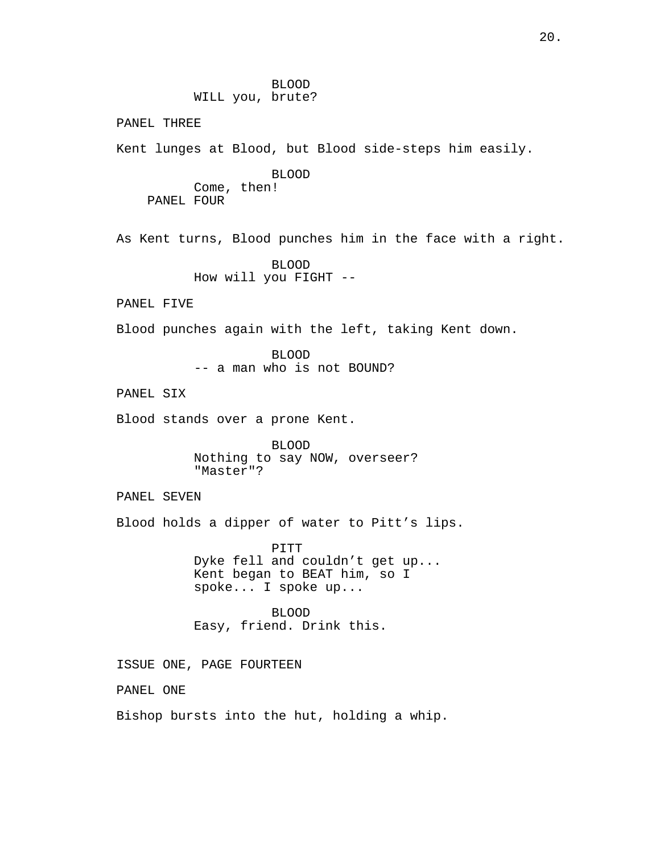BLOOD WILL you, brute? PANEL THREE Kent lunges at Blood, but Blood side-steps him easily. BLOOD Come, then! PANEL FOUR As Kent turns, Blood punches him in the face with a right. BLOOD How will you FIGHT -- PANEL FIVE Blood punches again with the left, taking Kent down. BLOOD -- a man who is not BOUND? PANEL SIX Blood stands over a prone Kent. BLOOD Nothing to say NOW, overseer? "Master"? PANEL SEVEN Blood holds a dipper of water to Pitt's lips. PITT Dyke fell and couldn't get up... Kent began to BEAT him, so I spoke... I spoke up... BLOOD Easy, friend. Drink this. ISSUE ONE, PAGE FOURTEEN PANEL ONE Bishop bursts into the hut, holding a whip.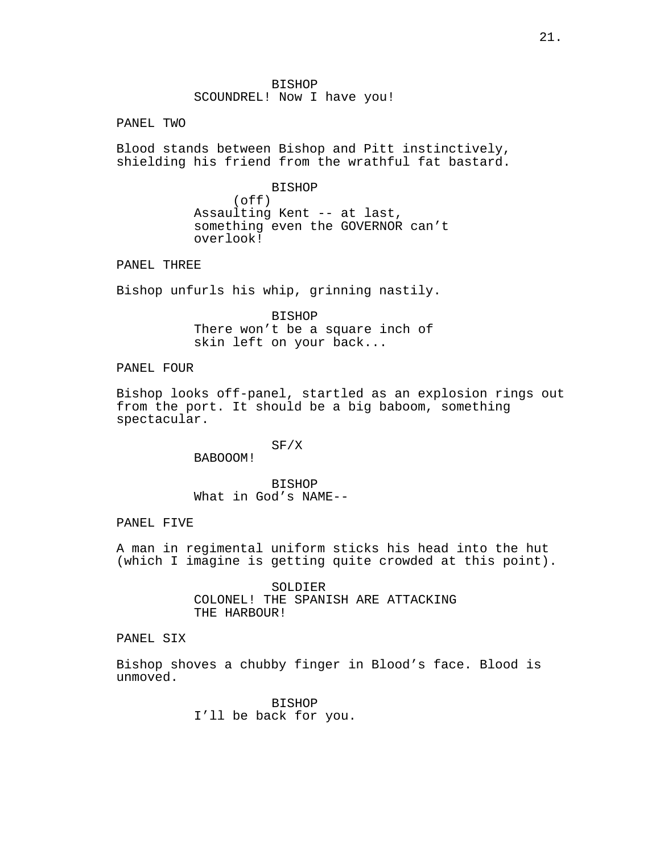BISHOP SCOUNDREL! Now I have you!

PANEL TWO

Blood stands between Bishop and Pitt instinctively, shielding his friend from the wrathful fat bastard.

> BISHOP (off) Assaulting Kent -- at last, something even the GOVERNOR can't overlook!

PANEL THREE

Bishop unfurls his whip, grinning nastily.

BISHOP There won't be a square inch of skin left on your back...

PANEL FOUR

Bishop looks off-panel, startled as an explosion rings out from the port. It should be a big baboom, something spectacular.

> SF/X BABOOOM!

BISHOP What in God's NAME--

PANEL FIVE

A man in regimental uniform sticks his head into the hut (which I imagine is getting quite crowded at this point).

> SOLDIER COLONEL! THE SPANISH ARE ATTACKING THE HARBOUR!

PANEL SIX

Bishop shoves a chubby finger in Blood's face. Blood is unmoved.

> BISHOP I'll be back for you.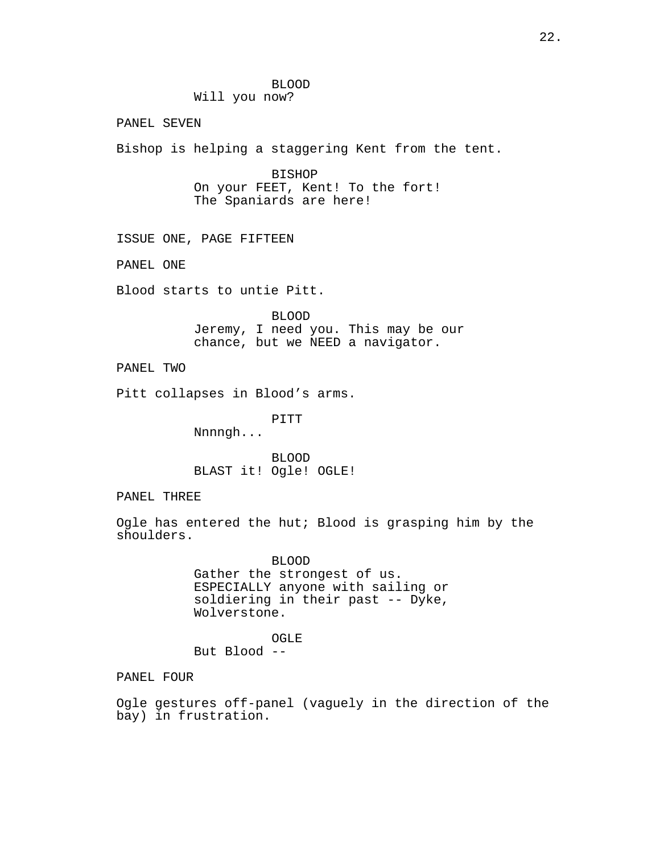### BLOOD Will you now?

PANEL SEVEN

Bishop is helping a staggering Kent from the tent.

BISHOP On your FEET, Kent! To the fort! The Spaniards are here!

ISSUE ONE, PAGE FIFTEEN

PANEL ONE

Blood starts to untie Pitt.

BLOOD Jeremy, I need you. This may be our chance, but we NEED a navigator.

PANEL TWO

Pitt collapses in Blood's arms.

PITT

Nnnngh...

BLOOD BLAST it! Ogle! OGLE!

PANEL THREE

Ogle has entered the hut; Blood is grasping him by the shoulders.

> BLOOD Gather the strongest of us. ESPECIALLY anyone with sailing or soldiering in their past -- Dyke, Wolverstone.

OGLE But Blood --

PANEL FOUR

Ogle gestures off-panel (vaguely in the direction of the bay) in frustration.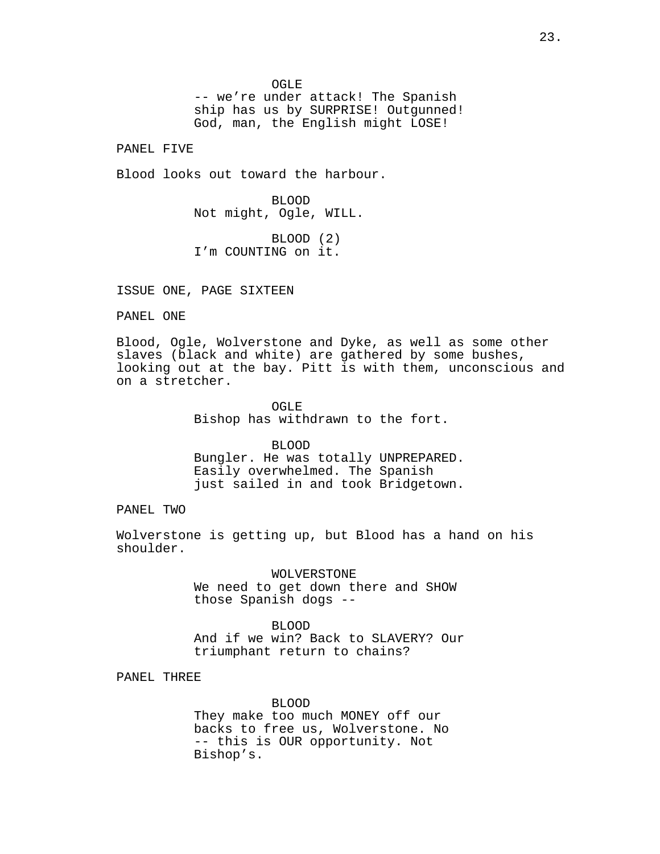OGLE

-- we're under attack! The Spanish ship has us by SURPRISE! Outgunned! God, man, the English might LOSE!

PANEL FIVE

Blood looks out toward the harbour.

BLOOD Not might, Ogle, WILL.

BLOOD (2) I'm COUNTING on it.

ISSUE ONE, PAGE SIXTEEN

PANEL ONE

Blood, Ogle, Wolverstone and Dyke, as well as some other slaves (black and white) are gathered by some bushes, looking out at the bay. Pitt is with them, unconscious and on a stretcher.

> OGLE Bishop has withdrawn to the fort.

BLOOD Bungler. He was totally UNPREPARED. Easily overwhelmed. The Spanish just sailed in and took Bridgetown.

PANEL TWO

Wolverstone is getting up, but Blood has a hand on his shoulder.

> WOLVERSTONE We need to get down there and SHOW those Spanish dogs --

BLOOD And if we win? Back to SLAVERY? Our triumphant return to chains?

PANEL THREE

BLOOD They make too much MONEY off our backs to free us, Wolverstone. No -- this is OUR opportunity. Not Bishop's.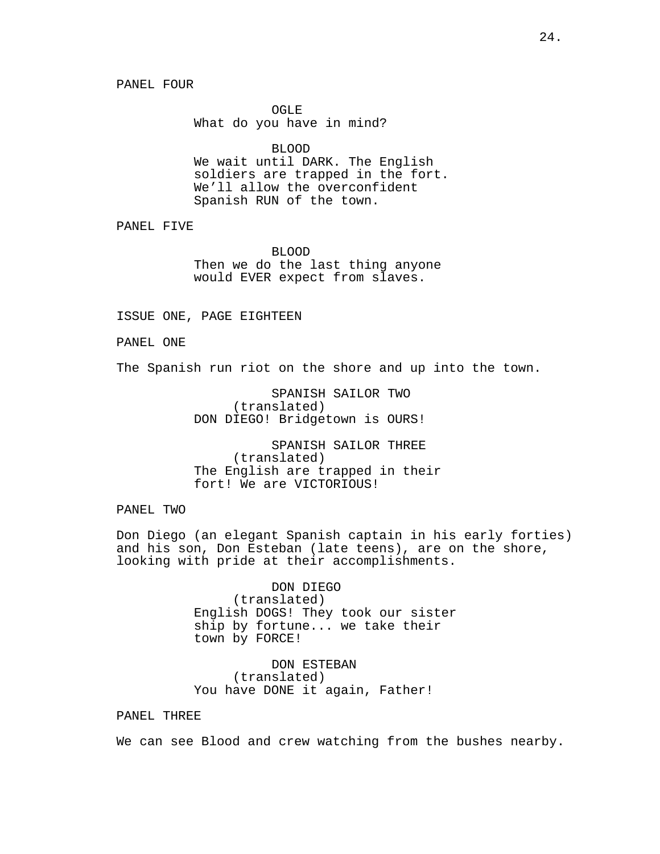OGLE What do you have in mind?

BLOOD

We wait until DARK. The English soldiers are trapped in the fort. We'll allow the overconfident Spanish RUN of the town.

PANEL FIVE

BLOOD Then we do the last thing anyone would EVER expect from slaves.

ISSUE ONE, PAGE EIGHTEEN

PANEL ONE

The Spanish run riot on the shore and up into the town.

SPANISH SAILOR TWO (translated) DON DIEGO! Bridgetown is OURS!

SPANISH SAILOR THREE (translated) The English are trapped in their fort! We are VICTORIOUS!

PANEL TWO

Don Diego (an elegant Spanish captain in his early forties) and his son, Don Esteban (late teens), are on the shore, looking with pride at their accomplishments.

> DON DIEGO (translated) English DOGS! They took our sister ship by fortune... we take their town by FORCE!

DON ESTEBAN (translated) You have DONE it again, Father!

PANEL THREE

We can see Blood and crew watching from the bushes nearby.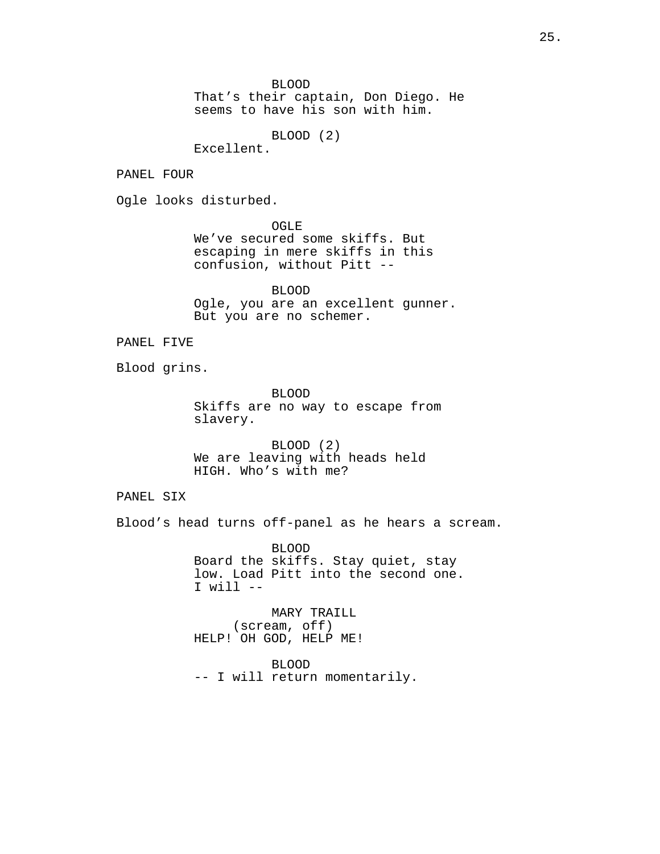BLOOD

That's their captain, Don Diego. He seems to have his son with him.

BLOOD (2)

Excellent.

PANEL FOUR

Ogle looks disturbed.

OGLE

We've secured some skiffs. But escaping in mere skiffs in this confusion, without Pitt --

BLOOD Ogle, you are an excellent gunner. But you are no schemer.

PANEL FIVE

Blood grins.

BLOOD Skiffs are no way to escape from slavery.

BLOOD (2) We are leaving with heads held HIGH. Who's with me?

PANEL SIX

Blood's head turns off-panel as he hears a scream.

BLOOD Board the skiffs. Stay quiet, stay low. Load Pitt into the second one.  $I$  will  $-$ 

MARY TRAILL (scream, off) HELP! OH GOD, HELP ME!

BLOOD -- I will return momentarily.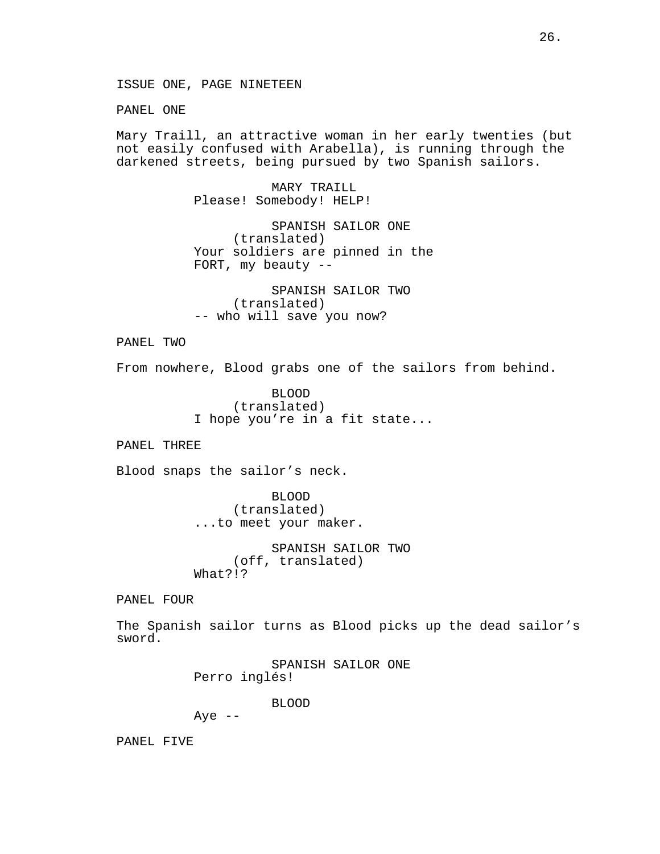ISSUE ONE, PAGE NINETEEN

PANEL ONE

Mary Traill, an attractive woman in her early twenties (but not easily confused with Arabella), is running through the darkened streets, being pursued by two Spanish sailors.

> MARY TRAILL Please! Somebody! HELP!

SPANISH SAILOR ONE (translated) Your soldiers are pinned in the FORT, my beauty --

SPANISH SAILOR TWO (translated) -- who will save you now?

PANEL TWO

From nowhere, Blood grabs one of the sailors from behind.

BLOOD (translated) I hope you're in a fit state...

PANEL THREE

Blood snaps the sailor's neck.

BLOOD (translated) ...to meet your maker.

SPANISH SAILOR TWO (off, translated) What?!?

PANEL FOUR

The Spanish sailor turns as Blood picks up the dead sailor's sword.

> SPANISH SAILOR ONE Perro inglés!

> > BLOOD

Aye  $--$ 

PANEL FIVE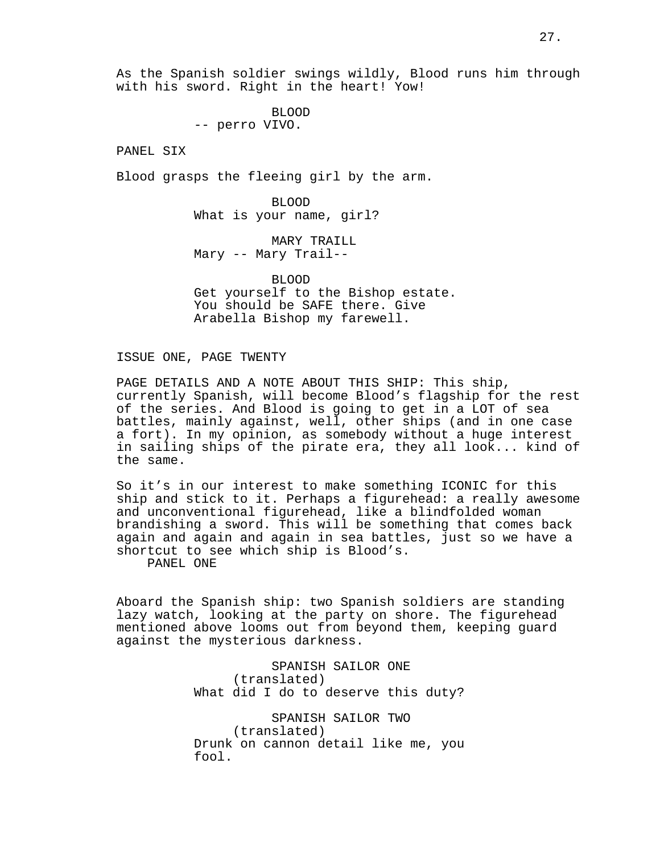As the Spanish soldier swings wildly, Blood runs him through with his sword. Right in the heart! Yow!

> BLOOD -- perro VIVO.

PANEL SIX

Blood grasps the fleeing girl by the arm.

BLOOD What is your name, girl?

MARY TRAILL Mary -- Mary Trail--

BLOOD Get yourself to the Bishop estate. You should be SAFE there. Give Arabella Bishop my farewell.

ISSUE ONE, PAGE TWENTY

PAGE DETAILS AND A NOTE ABOUT THIS SHIP: This ship, currently Spanish, will become Blood's flagship for the rest of the series. And Blood is going to get in a LOT of sea battles, mainly against, well, other ships (and in one case a fort). In my opinion, as somebody without a huge interest in sailing ships of the pirate era, they all look... kind of the same.

So it's in our interest to make something ICONIC for this ship and stick to it. Perhaps a figurehead: a really awesome and unconventional figurehead, like a blindfolded woman brandishing a sword. This will be something that comes back again and again and again in sea battles, just so we have a shortcut to see which ship is Blood's.

PANEL ONE

Aboard the Spanish ship: two Spanish soldiers are standing lazy watch, looking at the party on shore. The figurehead mentioned above looms out from beyond them, keeping guard against the mysterious darkness.

> SPANISH SAILOR ONE (translated) What did I do to deserve this duty?

SPANISH SAILOR TWO (translated) Drunk on cannon detail like me, you fool.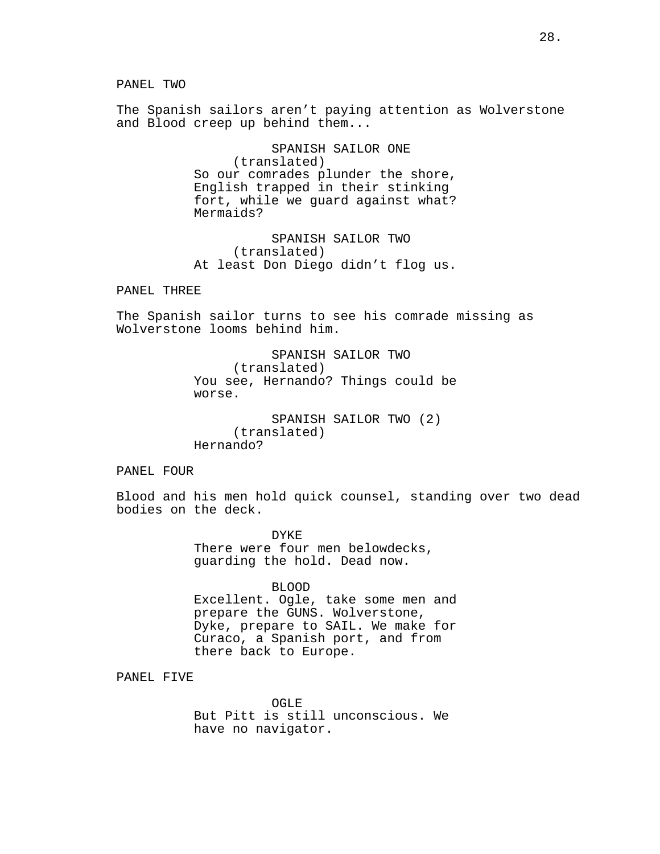PANEL TWO

The Spanish sailors aren't paying attention as Wolverstone and Blood creep up behind them...

> SPANISH SAILOR ONE (translated) So our comrades plunder the shore, English trapped in their stinking fort, while we guard against what? Mermaids?

SPANISH SAILOR TWO (translated) At least Don Diego didn't flog us.

PANEL THREE

The Spanish sailor turns to see his comrade missing as Wolverstone looms behind him.

> SPANISH SAILOR TWO (translated) You see, Hernando? Things could be worse.

SPANISH SAILOR TWO (2) (translated) Hernando?

PANEL FOUR

Blood and his men hold quick counsel, standing over two dead bodies on the deck.

> DYKE There were four men belowdecks, guarding the hold. Dead now.

#### BLOOD

Excellent. Ogle, take some men and prepare the GUNS. Wolverstone, Dyke, prepare to SAIL. We make for Curaco, a Spanish port, and from there back to Europe.

PANEL FIVE

OGLE<sup>1</sup> But Pitt is still unconscious. We have no navigator.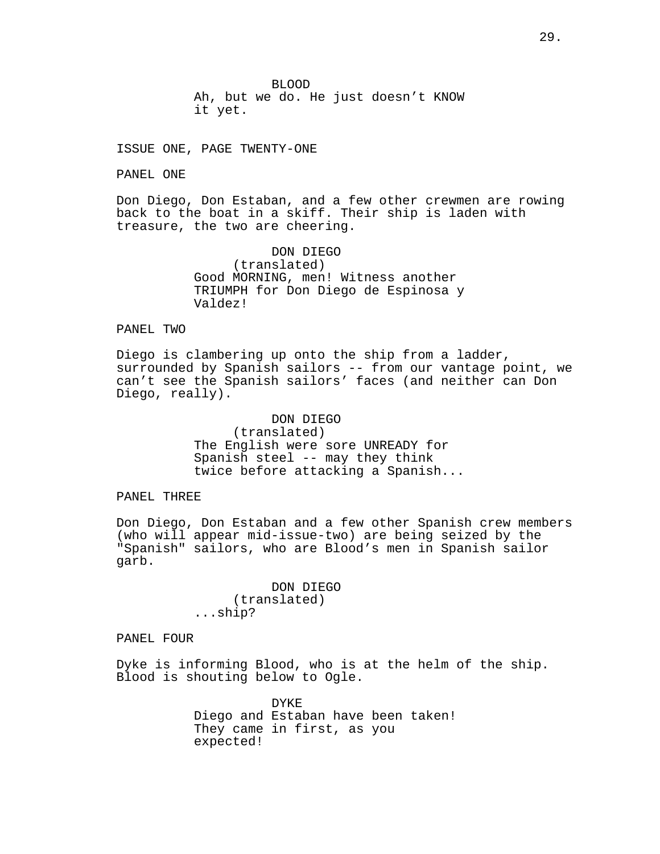BLOOD Ah, but we do. He just doesn't KNOW

it yet.

ISSUE ONE, PAGE TWENTY-ONE

PANEL ONE

Don Diego, Don Estaban, and a few other crewmen are rowing back to the boat in a skiff. Their ship is laden with treasure, the two are cheering.

> DON DIEGO (translated) Good MORNING, men! Witness another TRIUMPH for Don Diego de Espinosa y Valdez!

## PANEL TWO

Diego is clambering up onto the ship from a ladder, surrounded by Spanish sailors -- from our vantage point, we can't see the Spanish sailors' faces (and neither can Don Diego, really).

> DON DIEGO (translated) The English were sore UNREADY for Spanish steel -- may they think twice before attacking a Spanish...

PANEL THREE

Don Diego, Don Estaban and a few other Spanish crew members (who will appear mid-issue-two) are being seized by the "Spanish" sailors, who are Blood's men in Spanish sailor garb.

> DON DIEGO (translated) ...ship?

PANEL FOUR

Dyke is informing Blood, who is at the helm of the ship. Blood is shouting below to Ogle.

> DYKE Diego and Estaban have been taken! They came in first, as you expected!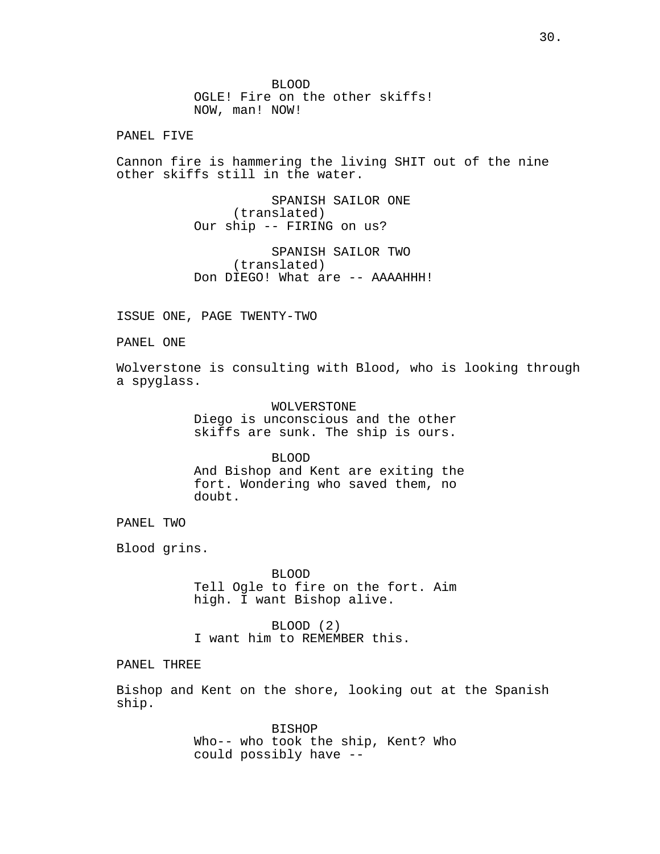BLOOD OGLE! Fire on the other skiffs! NOW, man! NOW!

PANEL FIVE

Cannon fire is hammering the living SHIT out of the nine other skiffs still in the water.

> SPANISH SAILOR ONE (translated) Our ship -- FIRING on us?

SPANISH SAILOR TWO (translated) Don DIEGO! What are -- AAAAHHH!

ISSUE ONE, PAGE TWENTY-TWO

PANEL ONE

Wolverstone is consulting with Blood, who is looking through a spyglass.

> WOLVERSTONE Diego is unconscious and the other skiffs are sunk. The ship is ours.

> > BLOOD

And Bishop and Kent are exiting the fort. Wondering who saved them, no doubt.

PANEL TWO

Blood grins.

BLOOD Tell Ogle to fire on the fort. Aim high. I want Bishop alive.

BLOOD (2) I want him to REMEMBER this.

PANEL THREE

Bishop and Kent on the shore, looking out at the Spanish ship.

> BISHOP Who-- who took the ship, Kent? Who could possibly have --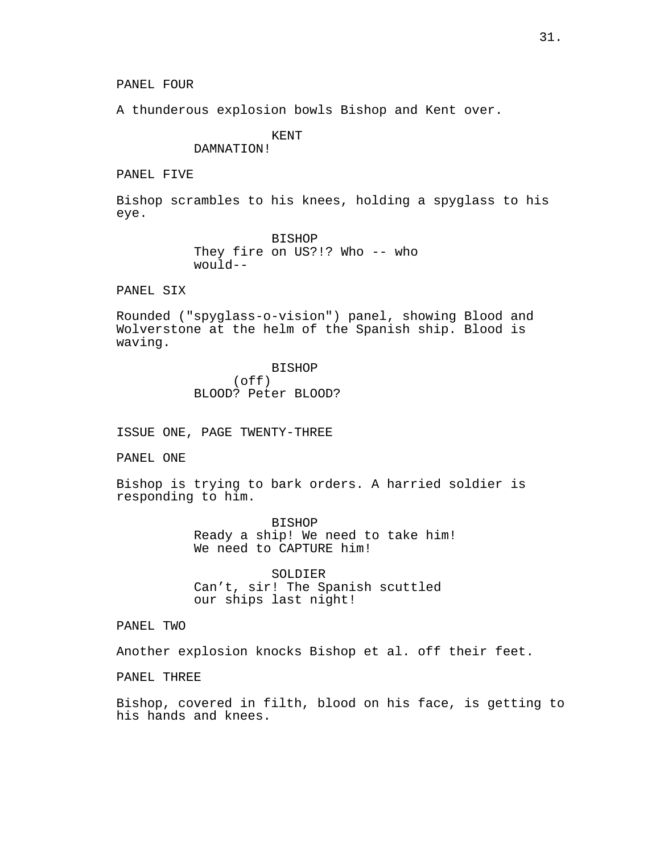A thunderous explosion bowls Bishop and Kent over.

KENT DAMNATION!

PANEL FIVE

Bishop scrambles to his knees, holding a spyglass to his eye.

> BISHOP They fire on US?!? Who -- who would--

PANEL SIX

Rounded ("spyglass-o-vision") panel, showing Blood and Wolverstone at the helm of the Spanish ship. Blood is waving.

> BISHOP (off) BLOOD? Peter BLOOD?

ISSUE ONE, PAGE TWENTY-THREE

PANEL ONE

Bishop is trying to bark orders. A harried soldier is responding to him.

> BISHOP Ready a ship! We need to take him! We need to CAPTURE him!

SOLDIER Can't, sir! The Spanish scuttled our ships last night!

PANEL TWO

Another explosion knocks Bishop et al. off their feet.

PANEL THREE

Bishop, covered in filth, blood on his face, is getting to his hands and knees.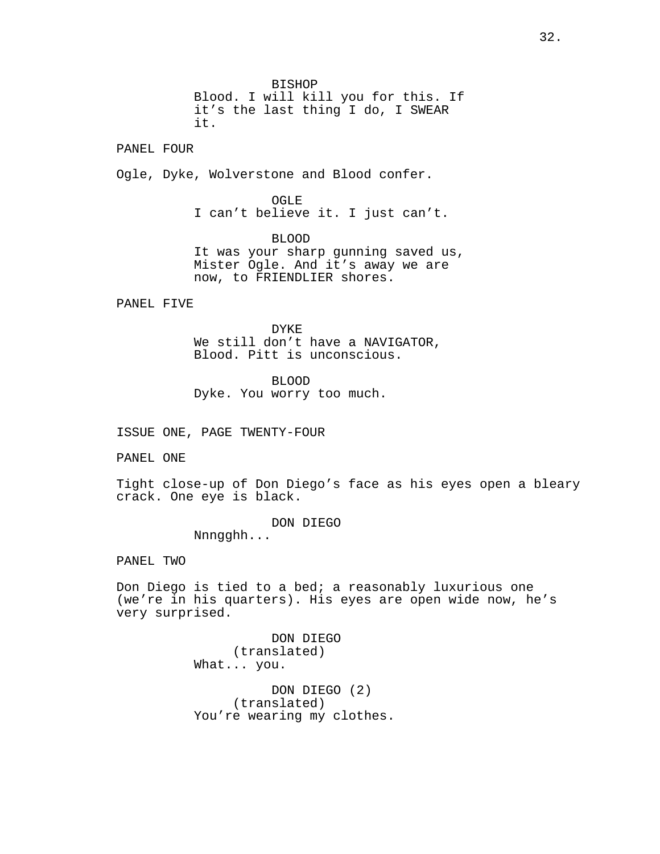BISHOP Blood. I will kill you for this. If it's the last thing I do, I SWEAR it.

PANEL FOUR

Ogle, Dyke, Wolverstone and Blood confer.

OGLE I can't believe it. I just can't.

BLOOD It was your sharp gunning saved us, Mister Ogle. And it's away we are now, to FRIENDLIER shores.

PANEL FIVE

DYKE We still don't have a NAVIGATOR, Blood. Pitt is unconscious.

BLOOD Dyke. You worry too much.

ISSUE ONE, PAGE TWENTY-FOUR

PANEL ONE

Tight close-up of Don Diego's face as his eyes open a bleary crack. One eye is black.

> DON DIEGO Nnngghh...

PANEL TWO

Don Diego is tied to a bed; a reasonably luxurious one (we're in his quarters). His eyes are open wide now, he's very surprised.

> DON DIEGO (translated) What... you. DON DIEGO (2) (translated) You're wearing my clothes.